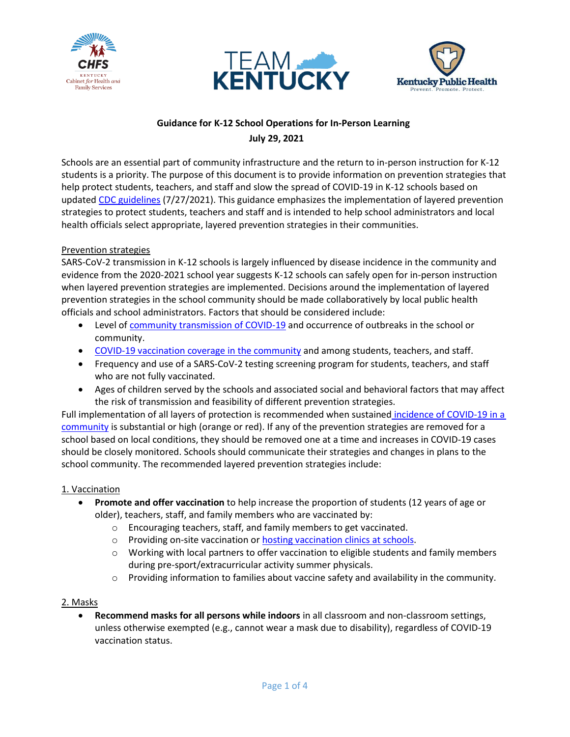





# **Guidance for K-12 School Operations for In-Person Learning July 29, 2021**

Schools are an essential part of community infrastructure and the return to in-person instruction for K-12 students is a priority. The purpose of this document is to provide information on prevention strategies that help protect students, teachers, and staff and slow the spread of COVID-19 in K-12 schools based on updated [CDC guidelines](https://www.cdc.gov/coronavirus/2019-ncov/community/schools-childcare/k-12-guidance.html) (7/27/2021). This guidance emphasizes the implementation of layered prevention strategies to protect students, teachers and staff and is intended to help school administrators and local health officials select appropriate, layered prevention strategies in their communities.

## Prevention strategies

SARS-CoV-2 transmission in K-12 schools is largely influenced by disease incidence in the community and evidence from the 2020-2021 school year suggests K-12 schools can safely open for in-person instruction when layered prevention strategies are implemented. Decisions around the implementation of layered prevention strategies in the school community should be made collaboratively by local public health officials and school administrators. Factors that should be considered include:

- Level of [community transmission of COVID-19](https://govstatus.egov.com/kycovid19) and occurrence of outbreaks in the school or community.
- [COVID-19 vaccination coverage in the community](https://dashboard.chfs.ky.gov/views/KYPublicFacingDashboard_16191000580170/KentuckyCOVID-19Vaccination?:iid=1&:isGuestRedirectFromVizportal=y&:embed=y) and among students, teachers, and staff.
- Frequency and use of a SARS-CoV-2 testing screening program for students, teachers, and staff who are not fully vaccinated.
- Ages of children served by the schools and associated social and behavioral factors that may affect the risk of transmission and feasibility of different prevention strategies.

Full implementation of all layers of protection is recommended when sustained [incidence of COVID-19 in a](https://govstatus.egov.com/kycovid19)  [community](https://govstatus.egov.com/kycovid19) is substantial or high (orange or red). If any of the prevention strategies are removed for a school based on local conditions, they should be removed one at a time and increases in COVID-19 cases should be closely monitored. Schools should communicate their strategies and changes in plans to the school community. The recommended layered prevention strategies include:

## 1. Vaccination

- **Promote and offer vaccination** to help increase the proportion of students (12 years of age or older), teachers, staff, and family members who are vaccinated by:
	- o Encouraging teachers, staff, and family members to get vaccinated.
	- o Providing on-site vaccination o[r hosting vaccination clinics](https://www.cdc.gov/vaccines/covid-19/planning/school-located-clinics.html) at schools.
	- $\circ$  Working with local partners to offer vaccination to eligible students and family members during pre-sport/extracurricular activity summer physicals.
	- $\circ$  Providing information to families about vaccine safety and availability in the community.

## 2. Masks

 **Recommend masks for all persons while indoors** in all classroom and non-classroom settings, unless otherwise exempted (e.g., cannot wear a mask due to disability), regardless of COVID-19 vaccination status.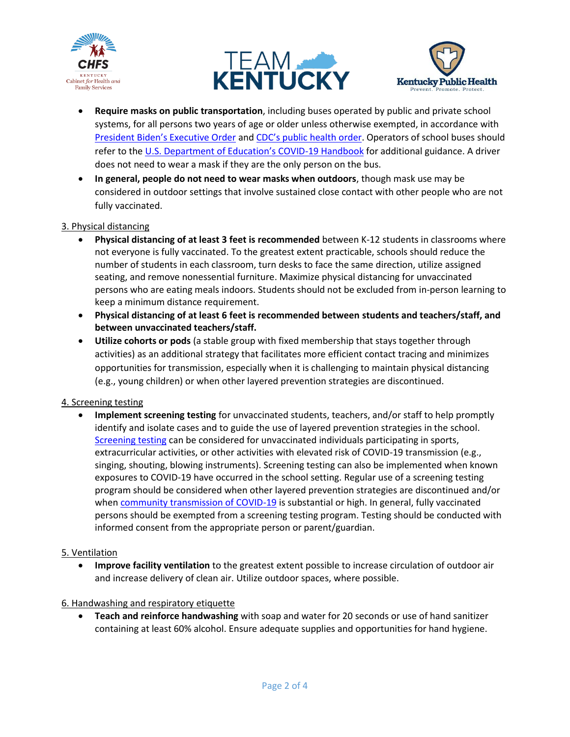





- **Require masks on public transportation**, including buses operated by public and private school systems, for all persons two years of age or older unless otherwise exempted, in accordance with [President Biden's Executive Order](https://www.whitehouse.gov/briefing-room/presidential-actions/2021/01/21/executive-order-promoting-covid-19-safety-in-domestic-and-international-travel/) and CDC's [public health order.](https://www.cdc.gov/quarantine/pdf/Mask-Order-CDC_GMTF_01-29-21-p.pdf) Operators of school buses should refer to the U.S. [Department of Education's COVID](https://www2.ed.gov/documents/coronavirus/reopening.pdf)-19 Handbook for additional guidance. A driver does not need to wear a mask if they are the only person on the bus.
- **In general, people do not need to wear masks when outdoors**, though mask use may be considered in outdoor settings that involve sustained close contact with other people who are not fully vaccinated.

## 3. Physical distancing

- **Physical distancing of at least 3 feet is recommended** between K-12 students in classrooms where not everyone is fully vaccinated. To the greatest extent practicable, schools should reduce the number of students in each classroom, turn desks to face the same direction, utilize assigned seating, and remove nonessential furniture. Maximize physical distancing for unvaccinated persons who are eating meals indoors. Students should not be excluded from in-person learning to keep a minimum distance requirement.
- **Physical distancing of at least 6 feet is recommended between students and teachers/staff, and between unvaccinated teachers/staff.**
- **Utilize cohorts or pods** (a stable group with fixed membership that stays together through activities) as an additional strategy that facilitates more efficient contact tracing and minimizes opportunities for transmission, especially when it is challenging to maintain physical distancing (e.g., young children) or when other layered prevention strategies are discontinued.

## 4. Screening testing

 **Implement screening testing** for unvaccinated students, teachers, and/or staff to help promptly identify and isolate cases and to guide the use of layered prevention strategies in the school. [Screening testing](https://govstatus.egov.com/K-12-kentucky-school-testing-program) can be considered for unvaccinated individuals participating in sports, extracurricular activities, or other activities with elevated risk of COVID-19 transmission (e.g., singing, shouting, blowing instruments). Screening testing can also be implemented when known exposures to COVID-19 have occurred in the school setting. Regular use of a screening testing program should be considered when other layered prevention strategies are discontinued and/or whe[n community transmission of COVID-19](https://govstatus.egov.com/kycovid19) is substantial or high. In general, fully vaccinated persons should be exempted from a screening testing program. Testing should be conducted with informed consent from the appropriate person or parent/guardian.

## 5. Ventilation

 **Improve facility ventilation** to the greatest extent possible to increase circulation of outdoor air and increase delivery of clean air. Utilize outdoor spaces, where possible.

## 6. Handwashing and respiratory etiquette

 **Teach and reinforce handwashing** with soap and water for 20 seconds or use of hand sanitizer containing at least 60% alcohol. Ensure adequate supplies and opportunities for hand hygiene.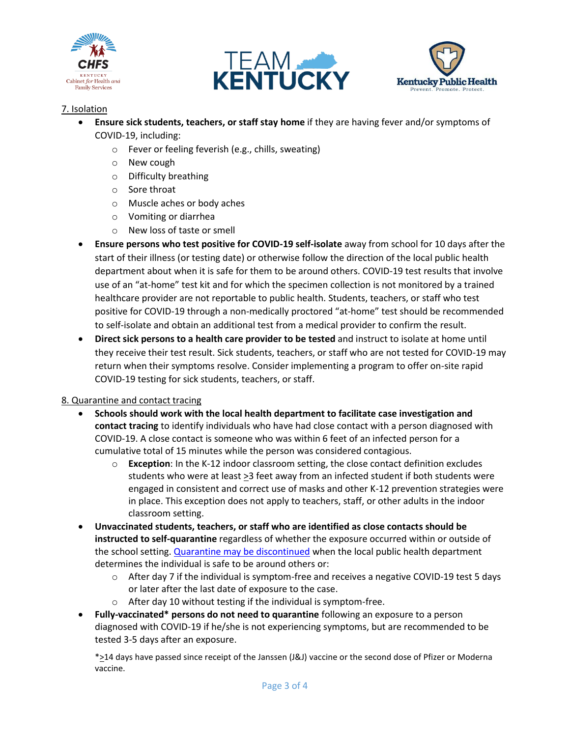





# 7. Isolation

- **Ensure sick students, teachers, or staff stay home** if they are having fever and/or symptoms of COVID-19, including:
	- o Fever or feeling feverish (e.g., chills, sweating)
	- o New cough
	- o Difficulty breathing
	- o Sore throat
	- o Muscle aches or body aches
	- o Vomiting or diarrhea
	- o New loss of taste or smell
- **Ensure persons who test positive for COVID-19 self-isolate** away from school for 10 days after the start of their illness (or testing date) or otherwise follow the direction of the local public health department about when it is safe for them to be around others. COVID-19 test results that involve use of an "at-home" test kit and for which the specimen collection is not monitored by a trained healthcare provider are not reportable to public health. Students, teachers, or staff who test positive for COVID-19 through a non-medically proctored "at-home" test should be recommended to self-isolate and obtain an additional test from a medical provider to confirm the result.
- **Direct sick persons to a health care provider to be tested** and instruct to isolate at home until they receive their test result. Sick students, teachers, or staff who are not tested for COVID-19 may return when their symptoms resolve. Consider implementing a program to offer on-site rapid COVID-19 testing for sick students, teachers, or staff.

## 8. Quarantine and contact tracing

- **Schools should work with the local health department to facilitate case investigation and contact tracing** to identify individuals who have had close contact with a person diagnosed with COVID-19. A close contact is someone who was within 6 feet of an infected person for a cumulative total of 15 minutes while the person was considered contagious.
	- o **Exception**: In the K-12 indoor classroom setting, the close contact definition excludes students who were at least  $\geq 3$  feet away from an infected student if both students were engaged in consistent and correct use of masks and other K-12 prevention strategies were in place. This exception does not apply to teachers, staff, or other adults in the indoor classroom setting.
- **Unvaccinated students, teachers, or staff who are identified as close contacts should be instructed to self-quarantine** regardless of whether the exposure occurred within or outside of the school setting[. Quarantine may be discontinued](https://www.cdc.gov/coronavirus/2019-ncov/if-you-are-sick/quarantine.html) when the local public health department determines the individual is safe to be around others or:
	- $\circ$  After day 7 if the individual is symptom-free and receives a negative COVID-19 test 5 days or later after the last date of exposure to the case.
	- $\circ$  After day 10 without testing if the individual is symptom-free.
- **Fully-vaccinated\* persons do not need to quarantine** following an exposure to a person diagnosed with COVID-19 if he/she is not experiencing symptoms, but are recommended to be tested 3-5 days after an exposure.

\*>14 days have passed since receipt of the Janssen (J&J) vaccine or the second dose of Pfizer or Moderna vaccine.